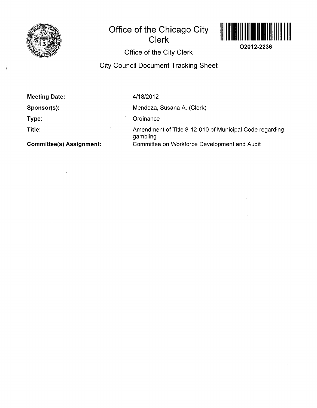

 $\overset{\leftarrow}{\leftarrow}$ 

# **Office of the Chicago City**



**02012-2236** 

**Office of the City Clerk** 

**Clerk** 

## **City Council Document Tracking Sheet**

| <b>Meeting Date:</b>            | 4/18/2012                                                           |
|---------------------------------|---------------------------------------------------------------------|
| Sponsor(s):                     | Mendoza, Susana A. (Clerk)                                          |
| Type:                           | Ordinance                                                           |
| Title:                          | Amendment of Title 8-12-010 of Municipal Code regarding<br>gambling |
| <b>Committee(s) Assignment:</b> | Committee on Workforce Development and Audit                        |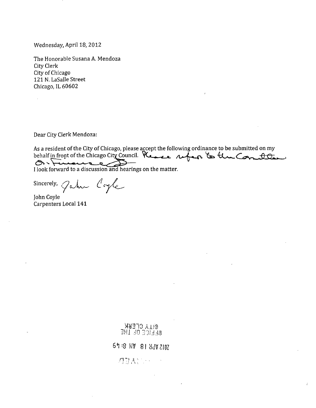Wednesday, April 18, 2012

The Honorable Susana A. Mendoza City Clerk City of Chicago 121 N. LaSalle Street Chicago, IL 60602

Dear City Clerk Mendoza:

 $\bar{z}$ 

As a resident of the City of Chicago, please accept the following ordinance to be submitted on my behalf in front of the Chicago City Council. Reason super to the Com to I look forward to a discussion and hearings on the matter.

Sincerely,  $\varphi$ where  $\ell$  ogle

John Coyle Carpenters Local 141

**CHANGERY** 

*m .:!0 331 ±M* 

*6^8 KV 8! Mimi*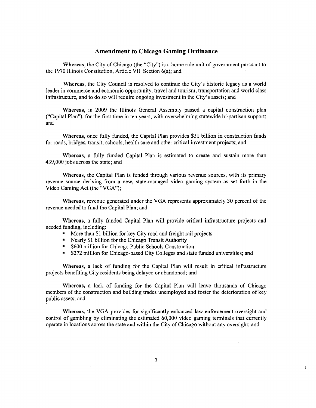## **Amendment to Chicago Gaming Ordinance**

Whereas, the City of Chicago (the "City") is a home rule unit of government pursuant to the 1970 Illinois Constitution, Article VII, Section 6(a); and

Whereas, the City Council is resolved to continue the City's historic legacy as a world leader in commerce and economic opportunity, travel and tourism, transportation and world class infrastructure, and to do so will require ongoing investment in the City's assets; and

Whereas, in 2009 the Illinois General Assembly passed a capital construction plan ("Capital Plan"), for the first time in ten years, with overwhelming statewide bi-partisan support; and

Whereas, once fully funded, the Capital Plan provides \$31 billion in construction funds for roads, bridges, transit, schools, health care and other critical investment projects; and

Whereas, a fully funded Capital Plan is estimated to create and sustain more than 439,000 jobs across the state; and

Whereas, the Capital Plan is funded through various revenue sources, with its primary revenue source deriving from a new, state-managed video gaming system as set forth in the Video Gaming Act (the "VGA");

Whereas, revenue generated under the VGA represents approximately 30 percent of the revenue needed to fund the Capital Plan; and

Whereas, a fully funded Capital Plan will provide critical infrastructure projects and needed funding, including:

- More than \$1 billion for key City road and freight rail projects
- Nearly \$1 billion for the Chicago Transit Authority
- \$600 million for Chicago Public Schools Construction
- \$272 million for Chicago-based City Colleges and state funded universities; and

Whereas, a lack of funding for the Capital Plan will result in critical infrastructure projects benefiting City residents being delayed or abandoned; and

Whereas, a lack of funding for the Capital Plan will leave thousands of Chicago members of the construction and building trades unemployed and foster the deterioration of key public assets; and

Whereas, the VGA provides for significantly enhanced law enforcement oversight and control of gambling by eliminating the estimated 60,000 video gaming terminals that currently operate in locations across the state and within the City of Chicago without any oversight; and

 $\ddot{i}$